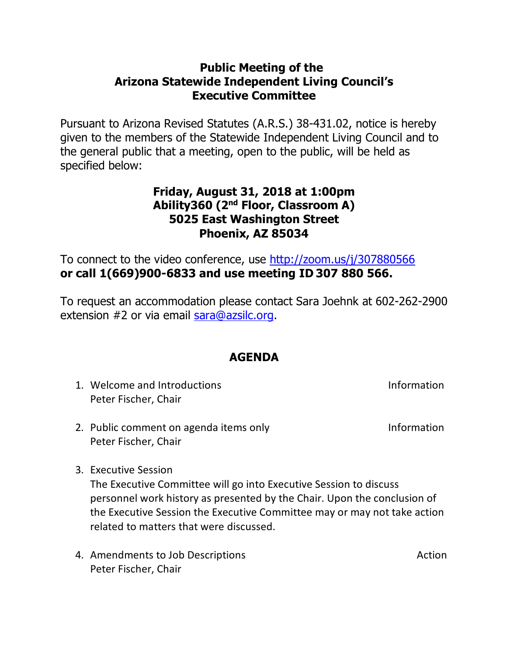## **Public Meeting of the Arizona Statewide Independent Living Council's Executive Committee**

Pursuant to Arizona Revised Statutes (A.R.S.) 38-431.02, notice is hereby given to the members of the Statewide Independent Living Council and to the general public that a meeting, open to the public, will be held as specified below:

## **Friday, August 31, 2018 at 1:00pm Ability360 (2nd Floor, Classroom A) 5025 East Washington Street Phoenix, AZ 85034**

To connect to the video conference, use http://zoom.us/j/307880566 **or call 1(669)900-6833 and use meeting ID 307 880 566.**

To request an accommodation please contact Sara Joehnk at 602-262-2900 extension #2 or via email sara@azsilc.org.

## **AGENDA**

- 1. Welcome and Introductions **Information** Peter Fischer, Chair
- 2. Public comment on agenda items only and the subset of the Information Peter Fischer, Chair
- 3. Executive Session

The Executive Committee will go into Executive Session to discuss personnel work history as presented by the Chair. Upon the conclusion of the Executive Session the Executive Committee may or may not take action related to matters that were discussed.

4. Amendments to Job Descriptions and the control of the Action Peter Fischer, Chair